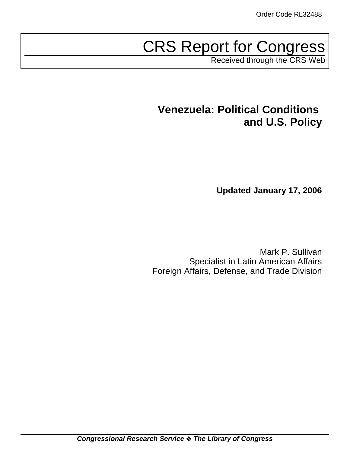# CRS Report for Congress

Received through the CRS Web

# **Venezuela: Political Conditions and U.S. Policy**

**Updated January 17, 2006**

Mark P. Sullivan Specialist in Latin American Affairs Foreign Affairs, Defense, and Trade Division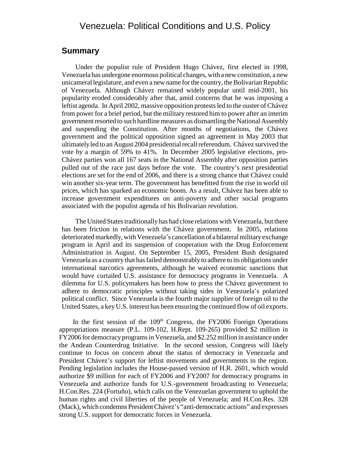# Venezuela: Political Conditions and U.S. Policy

### **Summary**

Under the populist rule of President Hugo Chávez, first elected in 1998, Venezuela has undergone enormous political changes, with a new constitution, a new unicameral legislature, and even a new name for the country, the Bolivarian Republic of Venezuela. Although Chávez remained widely popular until mid-2001, his popularity eroded considerably after that, amid concerns that he was imposing a leftist agenda. In April 2002, massive opposition protests led to the ouster of Chávez from power for a brief period, but the military restored him to power after an interim government resorted to such hardline measures as dismantling the National Assembly and suspending the Constitution. After months of negotiations, the Chávez government and the political opposition signed an agreement in May 2003 that ultimately led to an August 2004 presidential recall referendum. Chávez survived the vote by a margin of 59% to 41%. In December 2005 legislative elections, pro-Chávez parties won all 167 seats in the National Assembly after opposition parties pulled out of the race just days before the vote. The country's next presidential elections are set for the end of 2006, and there is a strong chance that Chávez could win another six-year term. The government has benefitted from the rise in world oil prices, which has sparked an economic boom. As a result, Chávez has been able to increase government expenditures on anti-poverty and other social programs associated with the populist agenda of his Bolivarian revolution.

The United States traditionally has had close relations with Venezuela, but there has been friction in relations with the Chávez government. In 2005, relations deteriorated markedly, with Venezuela's cancellation of a bilateral military exchange program in April and its suspension of cooperation with the Drug Enforcement Administration in August. On September 15, 2005, President Bush designated Venezuela as a country that has failed demonstrably to adhere to its obligations under international narcotics agreements, although he waived economic sanctions that would have curtailed U.S. assistance for democracy programs in Venezuela. A dilemma for U.S. policymakers has been how to press the Chávez government to adhere to democratic principles without taking sides in Venezuela's polarized political conflict. Since Venezuela is the fourth major supplier of foreign oil to the United States, a key U.S. interest has been ensuring the continued flow of oil exports.

In the first session of the  $109<sup>th</sup>$  Congress, the FY2006 Foreign Operations appropriations measure (P.L. 109-102, H.Rept. 109-265) provided \$2 million in FY2006 for democracy programs in Venezuela, and \$2.252 million in assistance under the Andean Counterdrug Initiative. In the second session, Congress will likely continue to focus on concern about the status of democracy in Venezuela and President Chávez's support for leftist movements and governments in the region. Pending legislation includes the House-passed version of H.R. 2601, which would authorize \$9 million for each of FY2006 and FY2007 for democracy programs in Venezuela and authorize funds for U.S.-government broadcasting to Venezuela; H.Con.Res. 224 (Fortuño), which calls on the Venezuelan government to uphold the human rights and civil liberties of the people of Venezuela; and H.Con.Res. 328 (Mack), which condemns President Chávez's "anti-democratic actions" and expresses strong U.S. support for democratic forces in Venezuela.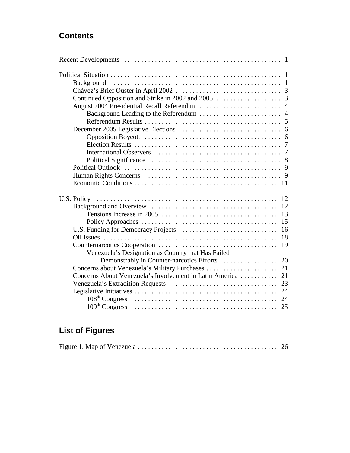# **Contents**

|                                                             | 13 |
|-------------------------------------------------------------|----|
|                                                             | 15 |
|                                                             | 16 |
|                                                             | 18 |
|                                                             |    |
| Venezuela's Designation as Country that Has Failed          |    |
|                                                             |    |
|                                                             |    |
| Concerns About Venezuela's Involvement in Latin America  21 |    |
|                                                             |    |
|                                                             |    |
|                                                             |    |
|                                                             |    |
|                                                             |    |

# **List of Figures**

|--|--|--|--|--|--|--|--|--|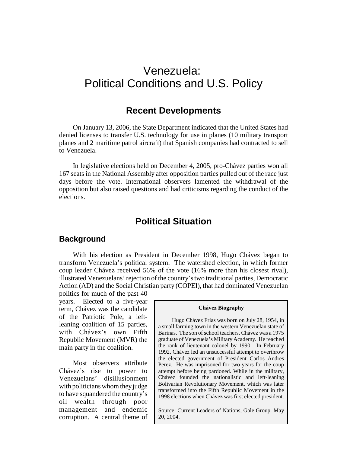# Venezuela: Political Conditions and U.S. Policy

# **Recent Developments**

On January 13, 2006, the State Department indicated that the United States had denied licenses to transfer U.S. technology for use in planes (10 military transport planes and 2 maritime patrol aircraft) that Spanish companies had contracted to sell to Venezuela.

In legislative elections held on December 4, 2005, pro-Chávez parties won all 167 seats in the National Assembly after opposition parties pulled out of the race just days before the vote. International observers lamented the withdrawal of the opposition but also raised questions and had criticisms regarding the conduct of the elections.

# **Political Situation**

#### **Background**

With his election as President in December 1998, Hugo Chávez began to transform Venezuela's political system. The watershed election, in which former coup leader Chávez received 56% of the vote (16% more than his closest rival), illustrated Venezuelans' rejection of the country's two traditional parties, Democratic Action (AD) and the Social Christian party (COPEI), that had dominated Venezuelan

politics for much of the past 40 years. Elected to a five-year term, Chávez was the candidate of the Patriotic Pole, a leftleaning coalition of 15 parties, with Chávez's own Fifth Republic Movement (MVR) the main party in the coalition.

Most observers attribute Chávez's rise to power to Venezuelans' disillusionment with politicians whom they judge to have squandered the country's oil wealth through poor management and endemic corruption. A central theme of

#### **Chávez Biography**

Hugo Chávez Frias was born on July 28, 1954, in a small farming town in the western Venezuelan state of Barinas. The son of school teachers, Chávez was a 1975 graduate of Venezuela's Military Academy. He reached the rank of lieutenant colonel by 1990. In February 1992, Chávez led an unsuccessful attempt to overthrow the elected government of President Carlos Andres Perez. He was imprisoned for two years for the coup attempt before being pardoned. While in the military, Chávez founded the nationalistic and left-leaning Bolivarian Revolutionary Movement, which was later transformed into the Fifth Republic Movement in the 1998 elections when Chávez was first elected president.

Source: Current Leaders of Nations, Gale Group. May 20, 2004.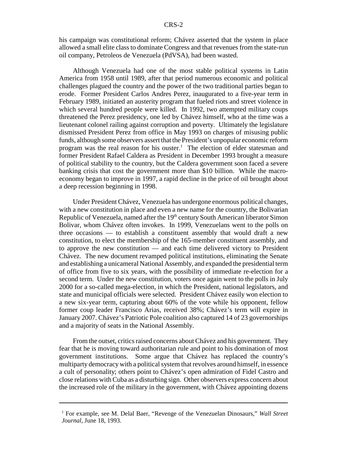his campaign was constitutional reform; Chávez asserted that the system in place allowed a small elite class to dominate Congress and that revenues from the state-run oil company, Petroleos de Venezuela (PdVSA), had been wasted.

Although Venezuela had one of the most stable political systems in Latin America from 1958 until 1989, after that period numerous economic and political challenges plagued the country and the power of the two traditional parties began to erode. Former President Carlos Andres Perez, inaugurated to a five-year term in February 1989, initiated an austerity program that fueled riots and street violence in which several hundred people were killed. In 1992, two attempted military coups threatened the Perez presidency, one led by Chávez himself, who at the time was a lieutenant colonel railing against corruption and poverty. Ultimately the legislature dismissed President Perez from office in May 1993 on charges of misusing public funds, although some observers assert that the President's unpopular economic reform program was the real reason for his ouster.<sup>1</sup> The election of elder statesman and former President Rafael Caldera as President in December 1993 brought a measure of political stability to the country, but the Caldera government soon faced a severe banking crisis that cost the government more than \$10 billion. While the macroeconomy began to improve in 1997, a rapid decline in the price of oil brought about a deep recession beginning in 1998.

Under President Chávez, Venezuela has undergone enormous political changes, with a new constitution in place and even a new name for the country, the Bolivarian Republic of Venezuela, named after the 19<sup>th</sup> century South American liberator Simon Bolivar, whom Chávez often invokes. In 1999, Venezuelans went to the polls on three occasions — to establish a constituent assembly that would draft a new constitution, to elect the membership of the 165-member constituent assembly, and to approve the new constitution — and each time delivered victory to President Chávez. The new document revamped political institutions, eliminating the Senate and establishing a unicameral National Assembly, and expanded the presidential term of office from five to six years, with the possibility of immediate re-election for a second term. Under the new constitution, voters once again went to the polls in July 2000 for a so-called mega-election, in which the President, national legislators, and state and municipal officials were selected. President Chávez easily won election to a new six-year term, capturing about 60% of the vote while his opponent, fellow former coup leader Francisco Arias, received 38%; Chávez's term will expire in January 2007. Chávez's Patriotic Pole coalition also captured 14 of 23 governorships and a majority of seats in the National Assembly.

From the outset, critics raised concerns about Chávez and his government. They fear that he is moving toward authoritarian rule and point to his domination of most government institutions. Some argue that Chávez has replaced the country's multiparty democracy with a political system that revolves around himself, in essence a cult of personality; others point to Chávez's open admiration of Fidel Castro and close relations with Cuba as a disturbing sign. Other observers express concern about the increased role of the military in the government, with Chávez appointing dozens

<sup>&</sup>lt;sup>1</sup> For example, see M. Delal Baer, "Revenge of the Venezuelan Dinosaurs," Wall Street *Journal*, June 18, 1993.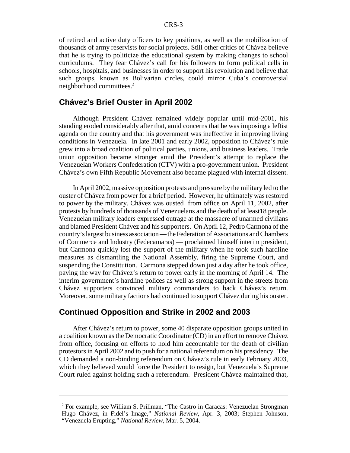of retired and active duty officers to key positions, as well as the mobilization of thousands of army reservists for social projects. Still other critics of Chávez believe that he is trying to politicize the educational system by making changes to school curriculums. They fear Chávez's call for his followers to form political cells in schools, hospitals, and businesses in order to support his revolution and believe that such groups, known as Bolivarian circles, could mirror Cuba's controversial neighborhood committees.2

# **Chávez's Brief Ouster in April 2002**

Although President Chávez remained widely popular until mid-2001, his standing eroded considerably after that, amid concerns that he was imposing a leftist agenda on the country and that his government was ineffective in improving living conditions in Venezuela. In late 2001 and early 2002, opposition to Chávez's rule grew into a broad coalition of political parties, unions, and business leaders. Trade union opposition became stronger amid the President's attempt to replace the Venezuelan Workers Confederation (CTV) with a pro-government union. President Chávez's own Fifth Republic Movement also became plagued with internal dissent.

In April 2002, massive opposition protests and pressure by the military led to the ouster of Chávez from power for a brief period. However, he ultimately was restored to power by the military. Chávez was ousted from office on April 11, 2002, after protests by hundreds of thousands of Venezuelans and the death of at least18 people. Venezuelan military leaders expressed outrage at the massacre of unarmed civilians and blamed President Chávez and his supporters. On April 12, Pedro Carmona of the country's largest business association — the Federation of Associations and Chambers of Commerce and Industry (Fedecamaras) — proclaimed himself interim president, but Carmona quickly lost the support of the military when he took such hardline measures as dismantling the National Assembly, firing the Supreme Court, and suspending the Constitution. Carmona stepped down just a day after he took office, paving the way for Chávez's return to power early in the morning of April 14. The interim government's hardline polices as well as strong support in the streets from Chávez supporters convinced military commanders to back Chávez's return. Moreover, some military factions had continued to support Chávez during his ouster.

#### **Continued Opposition and Strike in 2002 and 2003**

After Chávez's return to power, some 40 disparate opposition groups united in a coalition known as the Democratic Coordinator (CD) in an effort to remove Chávez from office, focusing on efforts to hold him accountable for the death of civilian protestors in April 2002 and to push for a national referendum on his presidency. The CD demanded a non-binding referendum on Chávez's rule in early February 2003, which they believed would force the President to resign, but Venezuela's Supreme Court ruled against holding such a referendum. President Chávez maintained that,

<sup>&</sup>lt;sup>2</sup> For example, see William S. Prillman, "The Castro in Caracas: Venezuelan Strongman Hugo Chávez, in Fidel's Image," *National Review*, Apr. 3, 2003; Stephen Johnson, "Venezuela Erupting," *National Review*, Mar. 5, 2004.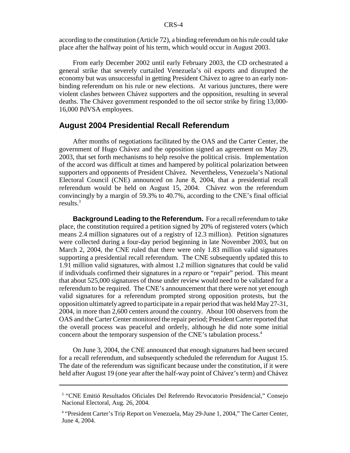according to the constitution (Article 72), a binding referendum on his rule could take place after the halfway point of his term, which would occur in August 2003.

From early December 2002 until early February 2003, the CD orchestrated a general strike that severely curtailed Venezuela's oil exports and disrupted the economy but was unsuccessful in getting President Chávez to agree to an early nonbinding referendum on his rule or new elections. At various junctures, there were violent clashes between Chávez supporters and the opposition, resulting in several deaths. The Chávez government responded to the oil sector strike by firing 13,000- 16,000 PdVSA employees.

#### **August 2004 Presidential Recall Referendum**

After months of negotiations facilitated by the OAS and the Carter Center, the government of Hugo Chávez and the opposition signed an agreement on May 29, 2003, that set forth mechanisms to help resolve the political crisis. Implementation of the accord was difficult at times and hampered by political polarization between supporters and opponents of President Chávez. Nevertheless, Venezuela's National Electoral Council (CNE) announced on June 8, 2004, that a presidential recall referendum would be held on August 15, 2004. Chávez won the referendum convincingly by a margin of 59.3% to 40.7%, according to the CNE's final official results. $3$ 

**Background Leading to the Referendum.** For a recall referendum to take place, the constitution required a petition signed by 20% of registered voters (which means 2.4 million signatures out of a registry of 12.3 million). Petition signatures were collected during a four-day period beginning in late November 2003, but on March 2, 2004, the CNE ruled that there were only 1.83 million valid signatures supporting a presidential recall referendum. The CNE subsequently updated this to 1.91 million valid signatures, with almost 1.2 million signatures that could be valid if individuals confirmed their signatures in a *reparo* or "repair" period. This meant that about 525,000 signatures of those under review would need to be validated for a referendum to be required. The CNE's announcement that there were not yet enough valid signatures for a referendum prompted strong opposition protests, but the opposition ultimately agreed to participate in a repair period that was held May 27-31, 2004, in more than 2,600 centers around the country. About 100 observers from the OAS and the Carter Center monitored the repair period; President Carter reported that the overall process was peaceful and orderly, although he did note some initial concern about the temporary suspension of the CNE's tabulation process.<sup>4</sup>

On June 3, 2004, the CNE announced that enough signatures had been secured for a recall referendum, and subsequently scheduled the referendum for August 15. The date of the referendum was significant because under the constitution, if it were held after August 19 (one year after the half-way point of Chávez's term) and Chávez

<sup>&</sup>lt;sup>3</sup> "CNE Emitió Resultados Oficiales Del Referendo Revocatorio Presidencial," Consejo Nacional Electoral, Aug. 26, 2004.

<sup>&</sup>lt;sup>4</sup> "President Carter's Trip Report on Venezuela, May 29-June 1, 2004," The Carter Center, June 4, 2004.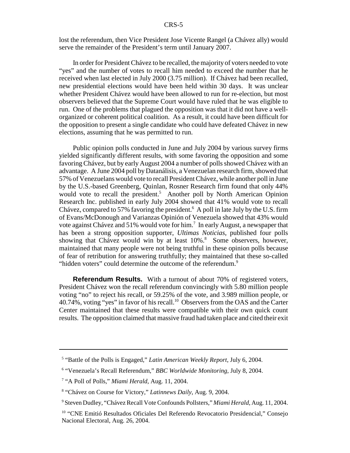lost the referendum, then Vice President Jose Vicente Rangel (a Chávez ally) would serve the remainder of the President's term until January 2007.

In order for President Chávez to be recalled, the majority of voters needed to vote "yes" and the number of votes to recall him needed to exceed the number that he received when last elected in July 2000 (3.75 million). If Chávez had been recalled, new presidential elections would have been held within 30 days. It was unclear whether President Chávez would have been allowed to run for re-election, but most observers believed that the Supreme Court would have ruled that he was eligible to run. One of the problems that plagued the opposition was that it did not have a wellorganized or coherent political coalition. As a result, it could have been difficult for the opposition to present a single candidate who could have defeated Chávez in new elections, assuming that he was permitted to run.

Public opinion polls conducted in June and July 2004 by various survey firms yielded significantly different results, with some favoring the opposition and some favoring Chávez, but by early August 2004 a number of polls showed Chávez with an advantage. A June 2004 poll by Datanálisis, a Venezuelan research firm, showed that 57% of Venezuelans would vote to recall President Chávez, while another poll in June by the U.S.-based Greenberg, Quinlan, Rosner Research firm found that only 44% would vote to recall the president.<sup>5</sup> Another poll by North American Opinion Research Inc. published in early July 2004 showed that 41% would vote to recall Chávez, compared to 57% favoring the president.<sup>6</sup> A poll in late July by the U.S. firm of Evans/McDonough and Varianzas Opinión of Venezuela showed that 43% would vote against Chávez and 51% would vote for him.<sup>7</sup> In early August, a newspaper that has been a strong opposition supporter, *Ultimas Noticias*, published four polls showing that Chávez would win by at least 10%.<sup>8</sup> Some observers, however, maintained that many people were not being truthful in these opinion polls because of fear of retribution for answering truthfully; they maintained that these so-called "hidden voters" could determine the outcome of the referendum.<sup>9</sup>

**Referendum Results.** With a turnout of about 70% of registered voters, President Chávez won the recall referendum convincingly with 5.80 million people voting "no" to reject his recall, or 59.25% of the vote, and 3.989 million people, or 40.74%, voting "yes" in favor of his recall.10 Observers from the OAS and the Carter Center maintained that these results were compatible with their own quick count results. The opposition claimed that massive fraud had taken place and cited their exit

<sup>5</sup> "Battle of the Polls is Engaged," *Latin American Weekly Report*, July 6, 2004.

<sup>6</sup> "Venezuela's Recall Referendum," *BBC Worldwide Monitoring*, July 8, 2004.

<sup>&</sup>lt;sup>7</sup> "A Poll of Polls," Miami Herald, Aug. 11, 2004.

<sup>8</sup> "Chávez on Course for Victory," *Latinnews Daily*, Aug. 9, 2004.

<sup>9</sup> Steven Dudley, "Chávez Recall Vote Confounds Pollsters," *Miami Herald*, Aug. 11, 2004.

<sup>&</sup>lt;sup>10</sup> "CNE Emitió Resultados Oficiales Del Referendo Revocatorio Presidencial," Consejo Nacional Electoral, Aug. 26, 2004.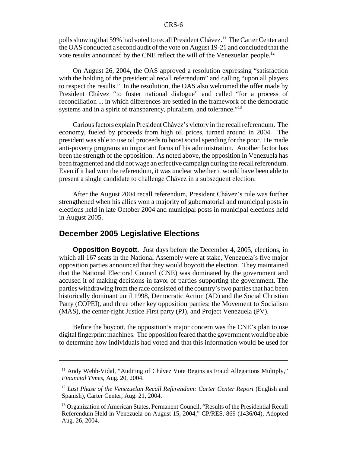polls showing that 59% had voted to recall President Chávez.<sup>11</sup> The Carter Center and the OAS conducted a second audit of the vote on August 19-21 and concluded that the vote results announced by the CNE reflect the will of the Venezuelan people.<sup>12</sup>

On August 26, 2004, the OAS approved a resolution expressing "satisfaction with the holding of the presidential recall referendum" and calling "upon all players to respect the results." In the resolution, the OAS also welcomed the offer made by President Chávez "to foster national dialogue" and called "for a process of reconciliation ... in which differences are settled in the framework of the democratic systems and in a spirit of transparency, pluralism, and tolerance."<sup>13</sup>

Carious factors explain President Chávez's victory in the recall referendum. The economy, fueled by proceeds from high oil prices, turned around in 2004. The president was able to use oil proceeds to boost social spending for the poor. He made anti-poverty programs an important focus of his administration. Another factor has been the strength of the opposition. As noted above, the opposition in Venezuela has been fragmented and did not wage an effective campaign during the recall referendum. Even if it had won the referendum, it was unclear whether it would have been able to present a single candidate to challenge Chávez in a subsequent election.

After the August 2004 recall referendum, President Chávez's rule was further strengthened when his allies won a majority of gubernatorial and municipal posts in elections held in late October 2004 and municipal posts in municipal elections held in August 2005.

#### **December 2005 Legislative Elections**

**Opposition Boycott.** Just days before the December 4, 2005, elections, in which all 167 seats in the National Assembly were at stake, Venezuela's five major opposition parties announced that they would boycott the election. They maintained that the National Electoral Council (CNE) was dominated by the government and accused it of making decisions in favor of parties supporting the government. The parties withdrawing from the race consisted of the country's two parties that had been historically dominant until 1998, Democratic Action (AD) and the Social Christian Party (COPEI), and three other key opposition parties: the Movement to Socialism (MAS), the center-right Justice First party (PJ), and Project Venezuela (PV).

Before the boycott, the opposition's major concern was the CNE's plan to use digital fingerprint machines. The opposition feared that the government would be able to determine how individuals had voted and that this information would be used for

<sup>&</sup>lt;sup>11</sup> Andy Webb-Vidal, "Auditing of Chávez Vote Begins as Fraud Allegations Multiply," *Financial Times*, Aug. 20, 2004.

<sup>12</sup> *Last Phase of the Venezuelan Recall Referendum: Carter Center Report* (English and Spanish), Carter Center, Aug. 21, 2004.

<sup>&</sup>lt;sup>13</sup> Organization of American States, Permanent Council. "Results of the Presidential Recall Referendum Held in Venezuela on August 15, 2004," CP/RES. 869 (1436/04), Adopted Aug. 26, 2004.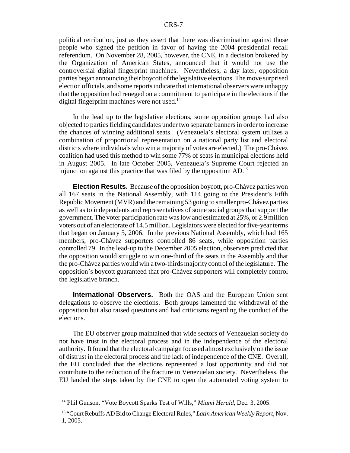political retribution, just as they assert that there was discrimination against those people who signed the petition in favor of having the 2004 presidential recall referendum. On November 28, 2005, however, the CNE, in a decision brokered by the Organization of American States, announced that it would not use the controversial digital fingerprint machines. Nevertheless, a day later, opposition parties began announcing their boycott of the legislative elections. The move surprised election officials, and some reports indicate that international observers were unhappy that the opposition had reneged on a commitment to participate in the elections if the digital fingerprint machines were not used.<sup>14</sup>

In the lead up to the legislative elections, some opposition groups had also objected to parties fielding candidates under two separate banners in order to increase the chances of winning additional seats. (Venezuela's electoral system utilizes a combination of proportional representation on a national party list and electoral districts where individuals who win a majority of votes are elected.) The pro-Chávez coalition had used this method to win some 77% of seats in municipal elections held in August 2005. In late October 2005, Venezuela's Supreme Court rejected an injunction against this practice that was filed by the opposition AD.15

**Election Results.** Because of the opposition boycott, pro-Chávez parties won all 167 seats in the National Assembly, with 114 going to the President's Fifth Republic Movement (MVR) and the remaining 53 going to smaller pro-Chávez parties as well as to independents and representatives of some social groups that support the government. The voter participation rate was low and estimated at 25%, or 2.9 million voters out of an electorate of 14.5 million. Legislators were elected for five-year terms that began on January 5, 2006. In the previous National Assembly, which had 165 members, pro-Chávez supporters controlled 86 seats, while opposition parties controlled 79. In the lead-up to the December 2005 election, observers predicted that the opposition would struggle to win one-third of the seats in the Assembly and that the pro-Chávez parties would win a two-thirds majority control of the legislature. The opposition's boycott guaranteed that pro-Chávez supporters will completely control the legislative branch.

**International Observers.** Both the OAS and the European Union sent delegations to observe the elections. Both groups lamented the withdrawal of the opposition but also raised questions and had criticisms regarding the conduct of the elections.

The EU observer group maintained that wide sectors of Venezuelan society do not have trust in the electoral process and in the independence of the electoral authority. It found that the electoral campaign focused almost exclusively on the issue of distrust in the electoral process and the lack of independence of the CNE. Overall, the EU concluded that the elections represented a lost opportunity and did not contribute to the reduction of the fracture in Venezuelan society. Nevertheless, the EU lauded the steps taken by the CNE to open the automated voting system to

<sup>&</sup>lt;sup>14</sup> Phil Gunson, "Vote Boycott Sparks Test of Wills," *Miami Herald*, Dec. 3, 2005.

<sup>15 &</sup>quot;Court Rebuffs AD Bid to Change Electoral Rules," *Latin American Weekly Report*, Nov. 1, 2005.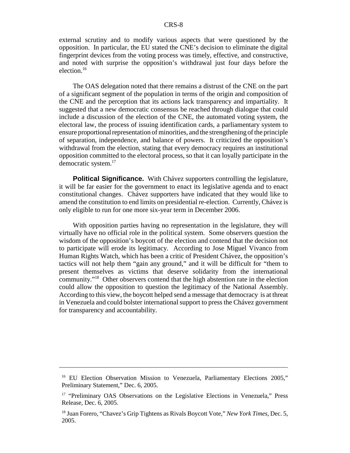external scrutiny and to modify various aspects that were questioned by the opposition. In particular, the EU stated the CNE's decision to eliminate the digital fingerprint devices from the voting process was timely, effective, and constructive, and noted with surprise the opposition's withdrawal just four days before the election.16

The OAS delegation noted that there remains a distrust of the CNE on the part of a significant segment of the population in terms of the origin and composition of the CNE and the perception that its actions lack transparency and impartiality. It suggested that a new democratic consensus be reached through dialogue that could include a discussion of the election of the CNE, the automated voting system, the electoral law, the process of issuing identification cards, a parliamentary system to ensure proportional representation of minorities, and the strengthening of the principle of separation, independence, and balance of powers. It criticized the opposition's withdrawal from the election, stating that every democracy requires an institutional opposition committed to the electoral process, so that it can loyally participate in the democratic system.17

**Political Significance.** With Chávez supporters controlling the legislature, it will be far easier for the government to enact its legislative agenda and to enact constitutional changes. Chávez supporters have indicated that they would like to amend the constitution to end limits on presidential re-election. Currently, Chávez is only eligible to run for one more six-year term in December 2006.

With opposition parties having no representation in the legislature, they will virtually have no official role in the political system. Some observers question the wisdom of the opposition's boycott of the election and contend that the decision not to participate will erode its legitimacy. According to Jose Miguel Vivanco from Human Rights Watch, which has been a critic of President Chávez, the opposition's tactics will not help them "gain any ground," and it will be difficult for "them to present themselves as victims that deserve solidarity from the international community."18 Other observers contend that the high abstention rate in the election could allow the opposition to question the legitimacy of the National Assembly. According to this view, the boycott helped send a message that democracy is at threat in Venezuela and could bolster international support to press the Chávez government for transparency and accountability.

<sup>&</sup>lt;sup>16</sup> EU Election Observation Mission to Venezuela, Parliamentary Elections 2005," Preliminary Statement," Dec. 6, 2005.

<sup>&</sup>lt;sup>17</sup> "Preliminary OAS Observations on the Legislative Elections in Venezuela," Press Release, Dec. 6, 2005.

<sup>18</sup> Juan Forero, "Chavez's Grip Tightens as Rivals Boycott Vote," *New York Times*, Dec. 5, 2005.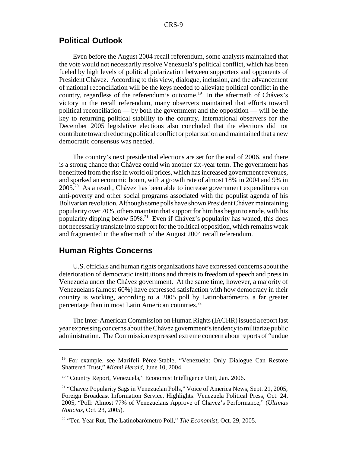#### **Political Outlook**

Even before the August 2004 recall referendum, some analysts maintained that the vote would not necessarily resolve Venezuela's political conflict, which has been fueled by high levels of political polarization between supporters and opponents of President Chávez. According to this view, dialogue, inclusion, and the advancement of national reconciliation will be the keys needed to alleviate political conflict in the country, regardless of the referendum's outcome.<sup>19</sup> In the aftermath of Chávez's victory in the recall referendum, many observers maintained that efforts toward political reconciliation — by both the government and the opposition — will be the key to returning political stability to the country. International observers for the December 2005 legislative elections also concluded that the elections did not contribute toward reducing political conflict or polarization and maintained that a new democratic consensus was needed.

The country's next presidential elections are set for the end of 2006, and there is a strong chance that Chávez could win another six-year term. The government has benefitted from the rise in world oil prices, which has increased government revenues, and sparked an economic boom, with a growth rate of almost 18% in 2004 and 9% in 2005.20 As a result, Chávez has been able to increase government expenditures on anti-poverty and other social programs associated with the populist agenda of his Bolivarian revolution. Although some polls have shown President Chávez maintaining popularity over 70%, others maintain that support for him has begun to erode, with his popularity dipping below  $50\%$ <sup>21</sup> Even if Chávez's popularity has waned, this does not necessarily translate into support for the political opposition, which remains weak and fragmented in the aftermath of the August 2004 recall referendum.

### **Human Rights Concerns**

U.S. officials and human rights organizations have expressed concerns about the deterioration of democratic institutions and threats to freedom of speech and press in Venezuela under the Chávez government. At the same time, however, a majority of Venezuelans (almost 60%) have expressed satisfaction with how democracy in their country is working, according to a 2005 poll by Latinobarómetro, a far greater percentage than in most Latin American countries.<sup>22</sup>

The Inter-American Commission on Human Rights (IACHR) issued a report last year expressing concerns about the Chávez government's tendency to militarize public administration. The Commission expressed extreme concern about reports of "undue

<sup>&</sup>lt;sup>19</sup> For example, see Marifeli Pérez-Stable, "Venezuela: Only Dialogue Can Restore Shattered Trust," *Miami Herald*, June 10, 2004.

<sup>&</sup>lt;sup>20</sup> "Country Report, Venezuela," Economist Intelligence Unit, Jan. 2006.

<sup>&</sup>lt;sup>21</sup> "Chavez Popularity Sags in Venezuelan Polls," Voice of America News, Sept. 21, 2005; Foreign Broadcast Information Service. Highlights: Venezuela Political Press, Oct. 24, 2005, "Poll: Almost 77% of Venezuelans Approve of Chavez's Performance," (*Ultimas Noticias*, Oct. 23, 2005).

<sup>22 &</sup>quot;Ten-Year Rut, The Latinobarómetro Poll," *The Economist*, Oct. 29, 2005.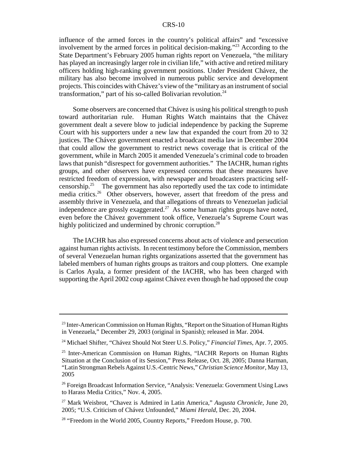influence of the armed forces in the country's political affairs" and "excessive involvement by the armed forces in political decision-making."<sup>23</sup> According to the State Department's February 2005 human rights report on Venezuela, "the military has played an increasingly larger role in civilian life," with active and retired military officers holding high-ranking government positions. Under President Chávez, the military has also become involved in numerous public service and development projects. This coincides with Chávez's view of the "military as an instrument of social transformation," part of his so-called Bolivarian revolution.<sup>24</sup>

Some observers are concerned that Chávez is using his political strength to push toward authoritarian rule. Human Rights Watch maintains that the Chávez government dealt a severe blow to judicial independence by packing the Supreme Court with his supporters under a new law that expanded the court from 20 to 32 justices. The Chávez government enacted a broadcast media law in December 2004 that could allow the government to restrict news coverage that is critical of the government, while in March 2005 it amended Venezuela's criminal code to broaden laws that punish "disrespect for government authorities." The IACHR, human rights groups, and other observers have expressed concerns that these measures have restricted freedom of expression, with newspaper and broadcasters practicing selfcensorship.<sup>25</sup> The government has also reportedly used the tax code to intimidate media critics.<sup>26</sup> Other observers, however, assert that freedom of the press and assembly thrive in Venezuela, and that allegations of threats to Venezuelan judicial independence are grossly exaggerated.<sup>27</sup> As some human rights groups have noted, even before the Chávez government took office, Venezuela's Supreme Court was highly politicized and undermined by chronic corruption.<sup>28</sup>

The IACHR has also expressed concerns about acts of violence and persecution against human rights activists. In recent testimony before the Commission, members of several Venezuelan human rights organizations asserted that the government has labeled members of human rights groups as traitors and coup plotters. One example is Carlos Ayala, a former president of the IACHR, who has been charged with supporting the April 2002 coup against Chávez even though he had opposed the coup

<sup>&</sup>lt;sup>23</sup> Inter-American Commission on Human Rights, "Report on the Situation of Human Rights in Venezuela," December 29, 2003 (original in Spanish); released in Mar. 2004.

<sup>24</sup> Michael Shifter, "Chávez Should Not Steer U.S. Policy," *Financial Times*, Apr. 7, 2005.

<sup>&</sup>lt;sup>25</sup> Inter-American Commission on Human Rights, "IACHR Reports on Human Rights Situation at the Conclusion of its Session," Press Release, Oct. 28, 2005; Danna Harman, "Latin Strongman Rebels Against U.S.-Centric News," *Christian Science Monitor*, May 13, 2005

<sup>26</sup> Foreign Broadcast Information Service, "Analysis: Venezuela: Government Using Laws to Harass Media Critics," Nov. 4, 2005.

<sup>27</sup> Mark Weisbrot, "Chavez is Admired in Latin America," *Augusta Chronicle*, June 20, 2005; "U.S. Criticism of Chávez Unfounded," *Miami Herald*, Dec. 20, 2004.

<sup>&</sup>lt;sup>28</sup> "Freedom in the World 2005, Country Reports," Freedom House, p. 700.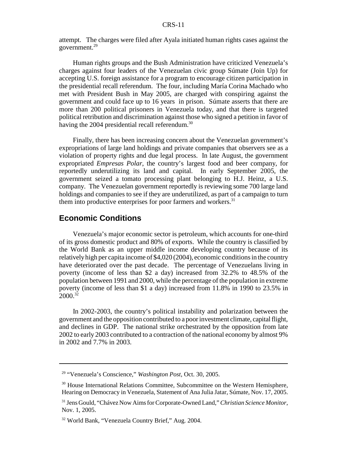attempt. The charges were filed after Ayala initiated human rights cases against the government.29

Human rights groups and the Bush Administration have criticized Venezuela's charges against four leaders of the Venezuelan civic group Súmate (Join Up) for accepting U.S. foreign assistance for a program to encourage citizen participation in the presidential recall referendum. The four, including María Corina Machado who met with President Bush in May 2005, are charged with conspiring against the government and could face up to 16 years in prison. Súmate asserts that there are more than 200 political prisoners in Venezuela today, and that there is targeted political retribution and discrimination against those who signed a petition in favor of having the 2004 presidential recall referendum.<sup>30</sup>

Finally, there has been increasing concern about the Venezuelan government's expropriations of large land holdings and private companies that observers see as a violation of property rights and due legal process. In late August, the government expropriated *Empresas Polar*, the country's largest food and beer company, for reportedly underutilizing its land and capital. In early September 2005, the government seized a tomato processing plant belonging to H.J. Heinz, a U.S. company. The Venezuelan government reportedly is reviewing some 700 large land holdings and companies to see if they are underutilized, as part of a campaign to turn them into productive enterprises for poor farmers and workers. $31$ 

### **Economic Conditions**

Venezuela's major economic sector is petroleum, which accounts for one-third of its gross domestic product and 80% of exports. While the country is classified by the World Bank as an upper middle income developing country because of its relatively high per capita income of \$4,020 (2004), economic conditions in the country have deteriorated over the past decade. The percentage of Venezuelans living in poverty (income of less than \$2 a day) increased from 32.2% to 48.5% of the population between 1991 and 2000, while the percentage of the population in extreme poverty (income of less than \$1 a day) increased from 11.8% in 1990 to 23.5% in  $2000^{32}$ 

In 2002-2003, the country's political instability and polarization between the government and the opposition contributed to a poor investment climate, capital flight, and declines in GDP. The national strike orchestrated by the opposition from late 2002 to early 2003 contributed to a contraction of the national economy by almost 9% in 2002 and 7.7% in 2003.

<sup>29 &</sup>quot;Venezuela's Conscience," *Washington Post*, Oct. 30, 2005.

<sup>&</sup>lt;sup>30</sup> House International Relations Committee, Subcommittee on the Western Hemisphere, Hearing on Democracy in Venezuela, Statement of Ana Julia Jatar, Súmate, Nov. 17, 2005.

<sup>31</sup> Jens Gould, "Chávez Now Aims for Corporate-Owned Land," *Christian Science Monitor*, Nov. 1, 2005.

<sup>32</sup> World Bank, "Venezuela Country Brief," Aug. 2004.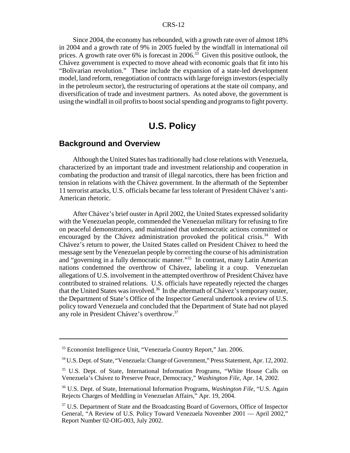Since 2004, the economy has rebounded, with a growth rate over of almost 18% in 2004 and a growth rate of 9% in 2005 fueled by the windfall in international oil prices. A growth rate over  $6\%$  is forecast in 2006.<sup>33</sup> Given this positive outlook, the Chávez government is expected to move ahead with economic goals that fit into his "Bolivarian revolution." These include the expansion of a state-led development model, land reform, renegotiation of contracts with large foreign investors (especially in the petroleum sector), the restructuring of operations at the state oil company, and diversification of trade and investment partners. As noted above, the government is using the windfall in oil profits to boost social spending and programs to fight poverty.

# **U.S. Policy**

# **Background and Overview**

Although the United States has traditionally had close relations with Venezuela, characterized by an important trade and investment relationship and cooperation in combating the production and transit of illegal narcotics, there has been friction and tension in relations with the Chávez government. In the aftermath of the September 11 terrorist attacks, U.S. officials became far less tolerant of President Chávez's anti-American rhetoric.

After Chávez's brief ouster in April 2002, the United States expressed solidarity with the Venezuelan people, commended the Venezuelan military for refusing to fire on peaceful demonstrators, and maintained that undemocratic actions committed or encouraged by the Chávez administration provoked the political crisis.<sup>34</sup> With Chávez's return to power, the United States called on President Chávez to heed the message sent by the Venezuelan people by correcting the course of his administration and "governing in a fully democratic manner."35 In contrast, many Latin American nations condemned the overthrow of Chávez, labeling it a coup. Venezuelan allegations of U.S. involvement in the attempted overthrow of President Chávez have contributed to strained relations. U.S. officials have repeatedly rejected the charges that the United States was involved.<sup>36</sup> In the aftermath of Chávez's temporary ouster, the Department of State's Office of the Inspector General undertook a review of U.S. policy toward Venezuela and concluded that the Department of State had not played any role in President Chávez's overthrow.37

<sup>33</sup> Economist Intelligence Unit, "Venezuela Country Report," Jan. 2006.

<sup>34</sup> U.S. Dept. of State, "Venezuela: Change of Government," Press Statement, Apr. 12, 2002.

<sup>35</sup> U.S. Dept. of State, International Information Programs, "White House Calls on Venezuela's Chávez to Preserve Peace, Democracy," *Washington File*, Apr. 14, 2002.

<sup>36</sup> U.S. Dept. of State, International Information Programs, *Washington File*, "U.S. Again Rejects Charges of Meddling in Venezuelan Affairs," Apr. 19, 2004.

<sup>&</sup>lt;sup>37</sup> U.S. Department of State and the Broadcasting Board of Governors, Office of Inspector General, "A Review of U.S. Policy Toward Venezuela November 2001 — April 2002," Report Number 02-OIG-003, July 2002.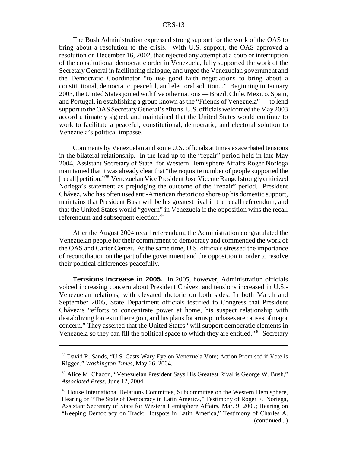The Bush Administration expressed strong support for the work of the OAS to bring about a resolution to the crisis. With U.S. support, the OAS approved a resolution on December 16, 2002, that rejected any attempt at a coup or interruption of the constitutional democratic order in Venezuela, fully supported the work of the Secretary General in facilitating dialogue, and urged the Venezuelan government and the Democratic Coordinator "to use good faith negotiations to bring about a constitutional, democratic, peaceful, and electoral solution..." Beginning in January 2003, the United States joined with five other nations — Brazil, Chile, Mexico, Spain, and Portugal, in establishing a group known as the "Friends of Venezuela" — to lend support to the OAS Secretary General's efforts. U.S. officials welcomed the May 2003 accord ultimately signed, and maintained that the United States would continue to work to facilitate a peaceful, constitutional, democratic, and electoral solution to Venezuela's political impasse.

Comments by Venezuelan and some U.S. officials at times exacerbated tensions in the bilateral relationship. In the lead-up to the "repair" period held in late May 2004, Assistant Secretary of State for Western Hemisphere Affairs Roger Noriega maintained that it was already clear that "the requisite number of people supported the [recall] petition."38 Venezuelan Vice President Jose Vicente Rangel strongly criticized Noriega's statement as prejudging the outcome of the "repair" period. President Chávez, who has often used anti-American rhetoric to shore up his domestic support, maintains that President Bush will be his greatest rival in the recall referendum, and that the United States would "govern" in Venezuela if the opposition wins the recall referendum and subsequent election.39

After the August 2004 recall referendum, the Administration congratulated the Venezuelan people for their commitment to democracy and commended the work of the OAS and Carter Center. At the same time, U.S. officials stressed the importance of reconciliation on the part of the government and the opposition in order to resolve their political differences peacefully.

**Tensions Increase in 2005.** In 2005, however, Administration officials voiced increasing concern about President Chávez, and tensions increased in U.S.- Venezuelan relations, with elevated rhetoric on both sides. In both March and September 2005, State Department officials testified to Congress that President Chávez's "efforts to concentrate power at home, his suspect relationship with destabilizing forces in the region, and his plans for arms purchases are causes of major concern." They asserted that the United States "will support democratic elements in Venezuela so they can fill the political space to which they are entitled."<sup>40</sup> Secretary

<sup>38</sup> David R. Sands, "U.S. Casts Wary Eye on Venezuela Vote; Action Promised if Vote is Rigged," *Washington Times*, May 26, 2004.

<sup>&</sup>lt;sup>39</sup> Alice M. Chacon, "Venezuelan President Says His Greatest Rival is George W. Bush," *Associated Press*, June 12, 2004.

<sup>40</sup> House International Relations Committee, Subcommittee on the Western Hemisphere, Hearing on "The State of Democracy in Latin America," Testimony of Roger F. Noriega, Assistant Secretary of State for Western Hemisphere Affairs, Mar. 9, 2005; Hearing on "Keeping Democracy on Track: Hotspots in Latin America," Testimony of Charles A. (continued...)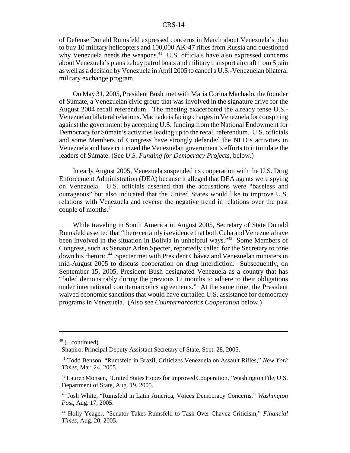of Defense Donald Rumsfeld expressed concerns in March about Venezuela's plan to buy 10 military helicopters and 100,000 AK-47 rifles from Russia and questioned why Venezuela needs the weapons.<sup>41</sup> U.S. officials have also expressed concerns about Venezuela's plans to buy patrol boats and military transport aircraft from Spain as well as a decision by Venezuela in April 2005 to cancel a U.S.-Venezuelan bilateral military exchange program.

On May 31, 2005, President Bush met with Maria Corina Machado, the founder of Súmate, a Venezuelan civic group that was involved in the signature drive for the August 2004 recall referendum. The meeting exacerbated the already tense U.S.- Venezuelan bilateral relations. Machado is facing charges in Venezuela for conspiring against the government by accepting U.S. funding from the National Endowment for Democracy for Súmate's activities leading up to the recall referendum. U.S. officials and some Members of Congress have strongly defended the NED's activities in Venezuela and have criticized the Venezuelan government's efforts to intimidate the leaders of Súmate. (See *U.S. Funding for Democracy Projects*, below.)

In early August 2005, Venezuela suspended its cooperation with the U.S. Drug Enforcement Administration (DEA) because it alleged that DEA agents were spying on Venezuela. U.S. officials asserted that the accusations were "baseless and outrageous" but also indicated that the United States would like to improve U.S. relations with Venezuela and reverse the negative trend in relations over the past couple of months.<sup>42</sup>

While traveling in South America in August 2005, Secretary of State Donald Rumsfeld asserted that "there certainly is evidence that both Cuba and Venezuela have been involved in the situation in Bolivia in unhelpful ways."43 Some Members of Congress, such as Senator Arlen Specter, reportedly called for the Secretary to tone down his rhetoric.44 Specter met with President Chávez and Venezuelan ministers in mid-August 2005 to discuss cooperation on drug interdiction. Subsequently, on September 15, 2005, President Bush designated Venezuela as a country that has "failed demonstrably during the previous 12 months to adhere to their obligations under international counternarcotics agreements." At the same time, the President waived economic sanctions that would have curtailed U.S. assistance for democracy programs in Venezuela. (Also see *Counternarcotics Cooperation* below.)

 $40$  (...continued)

Shapiro, Principal Deputy Assistant Secretary of State, Sept. 28, 2005.

<sup>41</sup> Todd Benson, "Rumsfeld in Brazil, Criticizes Venezuela on Assault Rifles," *New York Times*, Mar. 24, 2005.

<sup>42</sup> Lauren Monsen, "United States Hopes for Improved Cooperation," Washington File, U.S. Department of State, Aug. 19, 2005.

<sup>43</sup> Josh White, "Rumsfeld in Latin America, Voices Democracy Concerns," *Washington Post*, Aug. 17, 2005.

<sup>44</sup> Holly Yeager, "Senator Takes Rumsfeld to Task Over Chavez Criticism," *Financial Times*, Aug. 20, 2005.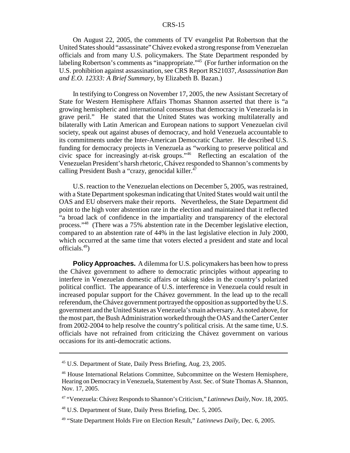On August 22, 2005, the comments of TV evangelist Pat Robertson that the United States should "assassinate" Chávez evoked a strong response from Venezuelan officials and from many U.S. policymakers. The State Department responded by labeling Robertson's comments as "inappropriate."45 (For further information on the U.S. prohibition against assassination, see CRS Report RS21037, *Assassination Ban and E.O. 12333: A Brief Summary*, by Elizabeth B. Bazan.)

In testifying to Congress on November 17, 2005, the new Assistant Secretary of State for Western Hemisphere Affairs Thomas Shannon asserted that there is "a growing hemispheric and international consensus that democracy in Venezuela is in grave peril." He stated that the United States was working multilaterally and bilaterally with Latin American and European nations to support Venezuelan civil society, speak out against abuses of democracy, and hold Venezuela accountable to its commitments under the Inter-American Democratic Charter. He described U.S. funding for democracy projects in Venezuela as "working to preserve political and civic space for increasingly at-risk groups."46 Reflecting an escalation of the Venezuelan President's harsh rhetoric, Chávez responded to Shannon's comments by calling President Bush a "crazy, genocidal killer. $47$ 

U.S. reaction to the Venezuelan elections on December 5, 2005, was restrained, with a State Department spokesman indicating that United States would wait until the OAS and EU observers make their reports. Nevertheless, the State Department did point to the high voter abstention rate in the election and maintained that it reflected "a broad lack of confidence in the impartiality and transparency of the electoral process."48 (There was a 75% abstention rate in the December legislative election, compared to an abstention rate of 44% in the last legislative election in July 2000, which occurred at the same time that voters elected a president and state and local officials.49)

**Policy Approaches.** A dilemma for U.S. policymakers has been how to press the Chávez government to adhere to democratic principles without appearing to interfere in Venezuelan domestic affairs or taking sides in the country's polarized political conflict. The appearance of U.S. interference in Venezuela could result in increased popular support for the Chávez government. In the lead up to the recall referendum, the Chávez government portrayed the opposition as supported by the U.S. government and the United States as Venezuela's main adversary. As noted above, for the most part, the Bush Administration worked through the OAS and the Carter Center from 2002-2004 to help resolve the country's political crisis. At the same time, U.S. officials have not refrained from criticizing the Chávez government on various occasions for its anti-democratic actions.

<sup>45</sup> U.S. Department of State, Daily Press Briefing, Aug. 23, 2005.

<sup>46</sup> House International Relations Committee, Subcommittee on the Western Hemisphere, Hearing on Democracy in Venezuela, Statement by Asst. Sec. of State Thomas A. Shannon, Nov. 17, 2005.

<sup>47 &</sup>quot;Venezuela: Chávez Responds to Shannon's Criticism," *Latinnews Daily*, Nov. 18, 2005.

<sup>48</sup> U.S. Department of State, Daily Press Briefing, Dec. 5, 2005.

<sup>49 &</sup>quot;State Department Holds Fire on Election Result," *Latinnews Daily*, Dec. 6, 2005.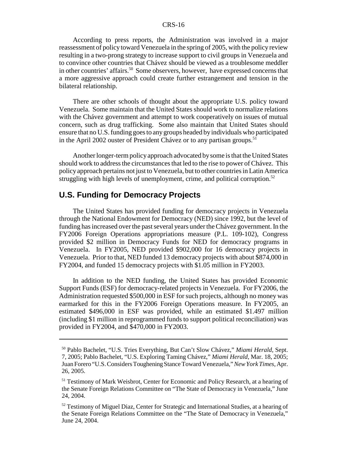According to press reports, the Administration was involved in a major reassessment of policy toward Venezuela in the spring of 2005, with the policy review resulting in a two-prong strategy to increase support to civil groups in Venezuela and to convince other countries that Chávez should be viewed as a troublesome meddler in other countries' affairs.<sup>50</sup> Some observers, however, have expressed concerns that a more aggressive approach could create further estrangement and tension in the bilateral relationship.

There are other schools of thought about the appropriate U.S. policy toward Venezuela. Some maintain that the United States should work to normalize relations with the Chávez government and attempt to work cooperatively on issues of mutual concern, such as drug trafficking. Some also maintain that United States should ensure that no U.S. funding goes to any groups headed by individuals who participated in the April 2002 ouster of President Chávez or to any partisan groups.<sup>51</sup>

Another longer-term policy approach advocated by some is that the United States should work to address the circumstances that led to the rise to power of Chávez. This policy approach pertains not just to Venezuela, but to other countries in Latin America struggling with high levels of unemployment, crime, and political corruption. $52$ 

### **U.S. Funding for Democracy Projects**

The United States has provided funding for democracy projects in Venezuela through the National Endowment for Democracy (NED) since 1992, but the level of funding has increased over the past several years under the Chávez government. In the FY2006 Foreign Operations appropriations measure (P.L. 109-102), Congress provided \$2 million in Democracy Funds for NED for democracy programs in Venezuela. In FY2005, NED provided \$902,000 for 16 democracy projects in Venezuela. Prior to that, NED funded 13 democracy projects with about \$874,000 in FY2004, and funded 15 democracy projects with \$1.05 million in FY2003.

In addition to the NED funding, the United States has provided Economic Support Funds (ESF) for democracy-related projects in Venezuela. For FY2006, the Administration requested \$500,000 in ESF for such projects, although no money was earmarked for this in the FY2006 Foreign Operations measure. In FY2005, an estimated \$496,000 in ESF was provided, while an estimated \$1.497 million (including \$1 million in reprogrammed funds to support political reconciliation) was provided in FY2004, and \$470,000 in FY2003.

<sup>50</sup> Pablo Bachelet, "U.S. Tries Everything, But Can't Slow Chávez," *Miami Herald*, Sept. 7, 2005; Pablo Bachelet, "U.S. Exploring Taming Chávez," *Miami Herald*, Mar. 18, 2005; Juan Forero "U.S. Considers Toughening Stance Toward Venezuela," *New York Times*, Apr. 26, 2005.

<sup>&</sup>lt;sup>51</sup> Testimony of Mark Weisbrot, Center for Economic and Policy Research, at a hearing of the Senate Foreign Relations Committee on "The State of Democracy in Venezuela," June 24, 2004.

 $52$  Testimony of Miguel Diaz, Center for Strategic and International Studies, at a hearing of the Senate Foreign Relations Committee on the "The State of Democracy in Venezuela," June 24, 2004.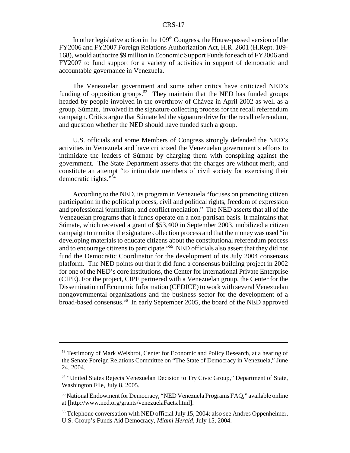In other legislative action in the  $109<sup>th</sup>$  Congress, the House-passed version of the FY2006 and FY2007 Foreign Relations Authorization Act, H.R. 2601 (H.Rept. 109- 168), would authorize \$9 million in Economic Support Funds for each of FY2006 and FY2007 to fund support for a variety of activities in support of democratic and accountable governance in Venezuela.

The Venezuelan government and some other critics have criticized NED's funding of opposition groups.<sup>53</sup> They maintain that the NED has funded groups headed by people involved in the overthrow of Chávez in April 2002 as well as a group, Súmate, involved in the signature collecting process for the recall referendum campaign. Critics argue that Súmate led the signature drive for the recall referendum, and question whether the NED should have funded such a group.

U.S. officials and some Members of Congress strongly defended the NED's activities in Venezuela and have criticized the Venezuelan government's efforts to intimidate the leaders of Súmate by charging them with conspiring against the government. The State Department asserts that the charges are without merit, and constitute an attempt "to intimidate members of civil society for exercising their democratic rights."54

According to the NED, its program in Venezuela "focuses on promoting citizen participation in the political process, civil and political rights, freedom of expression and professional journalism, and conflict mediation." The NED asserts that all of the Venezuelan programs that it funds operate on a non-partisan basis. It maintains that Súmate, which received a grant of \$53,400 in September 2003, mobilized a citizen campaign to monitor the signature collection process and that the money was used "in developing materials to educate citizens about the constitutional referendum process and to encourage citizens to participate."55 NED officials also assert that they did not fund the Democratic Coordinator for the development of its July 2004 consensus platform. The NED points out that it did fund a consensus building project in 2002 for one of the NED's core institutions, the Center for International Private Enterprise (CIPE). For the project, CIPE partnered with a Venezuelan group, the Center for the Dissemination of Economic Information (CEDICE) to work with several Venezuelan nongovernmental organizations and the business sector for the development of a broad-based consensus.56 In early September 2005, the board of the NED approved

<sup>&</sup>lt;sup>53</sup> Testimony of Mark Weisbrot, Center for Economic and Policy Research, at a hearing of the Senate Foreign Relations Committee on "The State of Democracy in Venezuela," June 24, 2004.

<sup>&</sup>lt;sup>54</sup> "United States Rejects Venezuelan Decision to Try Civic Group," Department of State, Washington File, July 8, 2005.

<sup>55</sup> National Endowment for Democracy, "NED Venezuela Programs FAQ," available online at [http://www.ned.org/grants/venezuelaFacts.html].

<sup>&</sup>lt;sup>56</sup> Telephone conversation with NED official July 15, 2004; also see Andres Oppenheimer, U.S. Group's Funds Aid Democracy, *Miami Herald*, July 15, 2004.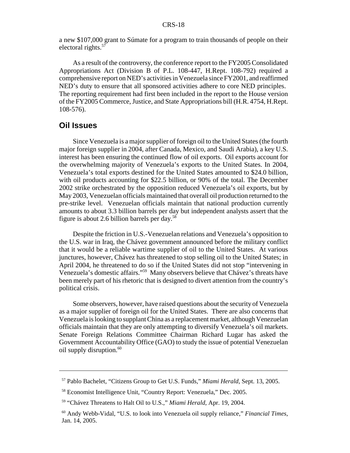a new \$107,000 grant to Súmate for a program to train thousands of people on their electoral rights.57

As a result of the controversy, the conference report to the FY2005 Consolidated Appropriations Act (Division B of P.L. 108-447, H.Rept. 108-792) required a comprehensive report on NED's activities in Venezuela since FY2001, and reaffirmed NED's duty to ensure that all sponsored activities adhere to core NED principles. The reporting requirement had first been included in the report to the House version of the FY2005 Commerce, Justice, and State Appropriations bill (H.R. 4754, H.Rept. 108-576).

#### **Oil Issues**

Since Venezuela is a major supplier of foreign oil to the United States (the fourth major foreign supplier in 2004, after Canada, Mexico, and Saudi Arabia), a key U.S. interest has been ensuring the continued flow of oil exports. Oil exports account for the overwhelming majority of Venezuela's exports to the United States. In 2004, Venezuela's total exports destined for the United States amounted to \$24.0 billion, with oil products accounting for \$22.5 billion, or 90% of the total. The December 2002 strike orchestrated by the opposition reduced Venezuela's oil exports, but by May 2003, Venezuelan officials maintained that overall oil production returned to the pre-strike level. Venezuelan officials maintain that national production currently amounts to about 3.3 billion barrels per day but independent analysts assert that the figure is about 2.6 billion barrels per day.<sup>58</sup>

Despite the friction in U.S.-Venezuelan relations and Venezuela's opposition to the U.S. war in Iraq, the Chávez government announced before the military conflict that it would be a reliable wartime supplier of oil to the United States. At various junctures, however, Chávez has threatened to stop selling oil to the United States; in April 2004, he threatened to do so if the United States did not stop "intervening in Venezuela's domestic affairs."59 Many observers believe that Chávez's threats have been merely part of his rhetoric that is designed to divert attention from the country's political crisis.

Some observers, however, have raised questions about the security of Venezuela as a major supplier of foreign oil for the United States. There are also concerns that Venezuela is looking to supplant China as a replacement market, although Venezuelan officials maintain that they are only attempting to diversify Venezuela's oil markets. Senate Foreign Relations Committee Chairman Richard Lugar has asked the Government Accountability Office (GAO) to study the issue of potential Venezuelan oil supply disruption.<sup>60</sup>

<sup>57</sup> Pablo Bachelet, "Citizens Group to Get U.S. Funds," *Miami Herald*, Sept. 13, 2005.

<sup>58</sup> Economist Intelligence Unit, "Country Report: Venezuela," Dec. 2005.

<sup>59 &</sup>quot;Chávez Threatens to Halt Oil to U.S.," *Miami Herald*, Apr. 19, 2004.

<sup>60</sup> Andy Webb-Vidal, "U.S. to look into Venezuela oil supply reliance," *Financial Times*, Jan. 14, 2005.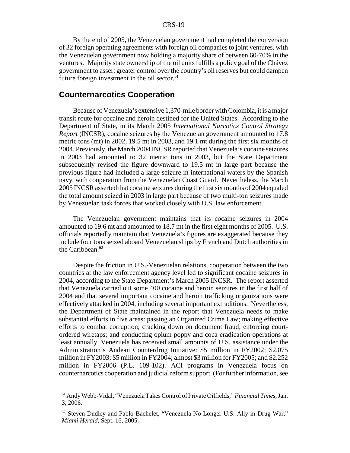By the end of 2005, the Venezuelan government had completed the conversion of 32 foreign operating agreements with foreign oil companies to joint ventures, with the Venezuelan government now holding a majority share of between 60-70% in the ventures. Majority state ownership of the oil units fulfills a policy goal of the Chávez government to assert greater control over the country's oil reserves but could dampen future foreign investment in the oil sector. $61$ 

#### **Counternarcotics Cooperation**

Because of Venezuela's extensive 1,370-mile border with Colombia, it is a major transit route for cocaine and heroin destined for the United States. According to the Department of State, in its March 2005 *International Narcotics Control Strategy Report* (INCSR), cocaine seizures by the Venezuelan government amounted to 17.8 metric tons (mt) in 2002, 19.5 mt in 2003, and 19.1 mt during the first six months of 2004. Previously, the March 2004 INCSR reported that Venezuela's cocaine seizures in 2003 had amounted to 32 metric tons in 2003, but the State Department subsequently revised the figure downward to 19.5 mt in large part because the previous figure had included a large seizure in international waters by the Spanish navy, with cooperation from the Venezuelan Coast Guard. Nevertheless, the March 2005 INCSR asserted that cocaine seizures during the first six months of 2004 equaled the total amount seized in 2003 in large part because of two multi-ton seizures made by Venezuelan task forces that worked closely with U.S. law enforcement.

The Venezuelan government maintains that its cocaine seizures in 2004 amounted to 19.6 mt and amounted to 18.7 mt in the first eight months of 2005. U.S. officials reportedly maintain that Venezuela's figures are exaggerated because they include four tons seized aboard Venezuelan ships by French and Dutch authorities in the Caribbean. $62$ 

Despite the friction in U.S.-Venezuelan relations, cooperation between the two countries at the law enforcement agency level led to significant cocaine seizures in 2004, according to the State Department's March 2005 INCSR. The report asserted that Venezuela carried out some 400 cocaine and heroin seizures in the first half of 2004 and that several important cocaine and heroin trafficking organizations were effectively attacked in 2004, including several important extraditions. Nevertheless, the Department of State maintained in the report that Venezuela needs to make substantial efforts in five areas: passing an Organized Crime Law; making effective efforts to combat corruption; cracking down on document fraud; enforcing courtordered wiretaps; and conducting opium poppy and coca eradication operations at least annually. Venezuela has received small amounts of U.S. assistance under the Administration's Andean Counterdrug Initiative: \$5 million in FY2002; \$2.075 million in FY2003; \$5 million in FY2004; almost \$3 million for FY2005; and \$2.252 million in FY2006 (P.L. 109-102). ACI programs in Venezuela focus on counternarcotics cooperation and judicial reform support. (For further information, see

<sup>61</sup> Andy Webb-Vidal, "Venezuela Takes Control of Private Oilfields," *Financial Times*, Jan. 3, 2006.

 $62$  Steven Dudley and Pablo Bachelet, "Venezuela No Longer U.S. Ally in Drug War," *Miami Herald*, Sept. 16, 2005.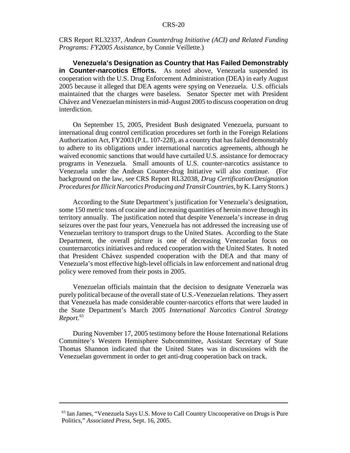CRS Report RL32337, *Andean Counterdrug Initiative (ACI) and Related Funding Programs: FY2005 Assistance*, by Connie Veillette.)

**Venezuela's Designation as Country that Has Failed Demonstrably in Counter-narcotics Efforts.** As noted above, Venezuela suspended its cooperation with the U.S. Drug Enforcement Administration (DEA) in early August 2005 because it alleged that DEA agents were spying on Venezuela. U.S. officials maintained that the charges were baseless. Senator Specter met with President Chávez and Venezuelan ministers in mid-August 2005 to discuss cooperation on drug interdiction.

On September 15, 2005, President Bush designated Venezuela, pursuant to international drug control certification procedures set forth in the Foreign Relations Authorization Act, FY2003 (P.L. 107-228), as a country that has failed demonstrably to adhere to its obligations under international narcotics agreements, although he waived economic sanctions that would have curtailed U.S. assistance for democracy programs in Venezuela. Small amounts of U.S. counter-narcotics assistance to Venezuela under the Andean Counter-drug Initiative will also continue. (For background on the law, see CRS Report RL32038, *Drug Certification/Designation Procedures for Illicit Narcotics Producing and Transit Countries*, by K. Larry Storrs.)

According to the State Department's justification for Venezuela's designation, some 150 metric tons of cocaine and increasing quantities of heroin move through its territory annually. The justification noted that despite Venezuela's increase in drug seizures over the past four years, Venezuela has not addressed the increasing use of Venezuelan territory to transport drugs to the United States. According to the State Department, the overall picture is one of decreasing Venezuelan focus on counternarcotics initiatives and reduced cooperation with the United States. It noted that President Chávez suspended cooperation with the DEA and that many of Venezuela's most effective high-level officials in law enforcement and national drug policy were removed from their posts in 2005.

Venezuelan officials maintain that the decision to designate Venezuela was purely political because of the overall state of U.S.-Venezuelan relations. They assert that Venezuela has made considerable counter-narcotics efforts that were lauded in the State Department's March 2005 *International Narcotics Control Strategy Report.*<sup>63</sup>

During November 17, 2005 testimony before the House International Relations Committee's Western Hemisphere Subcommittee, Assistant Secretary of State Thomas Shannon indicated that the United States was in discussions with the Venezuelan government in order to get anti-drug cooperation back on track.

<sup>63</sup> Ian James, "Venezuela Says U.S. Move to Call Country Uncooperative on Drugs is Pure Politics," *Associated Press*, Sept. 16, 2005.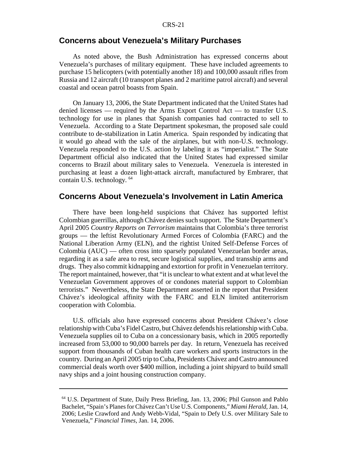### **Concerns about Venezuela's Military Purchases**

As noted above, the Bush Administration has expressed concerns about Venezuela's purchases of military equipment. These have included agreements to purchase 15 helicopters (with potentially another 18) and 100,000 assault rifles from Russia and 12 aircraft (10 transport planes and 2 maritime patrol aircraft) and several coastal and ocean patrol boasts from Spain.

On January 13, 2006, the State Department indicated that the United States had denied licenses — required by the Arms Export Control Act — to transfer U.S. technology for use in planes that Spanish companies had contracted to sell to Venezuela. According to a State Department spokesman, the proposed sale could contribute to de-stabilization in Latin America. Spain responded by indicating that it would go ahead with the sale of the airplanes, but with non-U.S. technology. Venezuela responded to the U.S. action by labeling it as "imperialist." The State Department official also indicated that the United States had expressed similar concerns to Brazil about military sales to Venezuela. Venezuela is interested in purchasing at least a dozen light-attack aircraft, manufactured by Embrarer, that contain U.S. technology. 64

#### **Concerns About Venezuela's Involvement in Latin America**

There have been long-held suspicions that Chávez has supported leftist Colombian guerrillas, although Chávez denies such support. The State Department's April 2005 *Country Reports on Terrorism* maintains that Colombia's three terrorist groups — the leftist Revolutionary Armed Forces of Colombia (FARC) and the National Liberation Army (ELN), and the rightist United Self-Defense Forces of Colombia (AUC) — often cross into sparsely populated Venezuelan border areas, regarding it as a safe area to rest, secure logistical supplies, and transship arms and drugs. They also commit kidnapping and extortion for profit in Venezuelan territory. The report maintained, however, that "it is unclear to what extent and at what level the Venezuelan Government approves of or condones material support to Colombian terrorists." Nevertheless, the State Department asserted in the report that President Chávez's ideological affinity with the FARC and ELN limited antiterrorism cooperation with Colombia.

U.S. officials also have expressed concerns about President Chávez's close relationship with Cuba's Fidel Castro, but Chávez defends his relationship with Cuba. Venezuela supplies oil to Cuba on a concessionary basis, which in 2005 reportedly increased from 53,000 to 90,000 barrels per day. In return, Venezuela has received support from thousands of Cuban health care workers and sports instructors in the country. During an April 2005 trip to Cuba, Presidents Chávez and Castro announced commercial deals worth over \$400 million, including a joint shipyard to build small navy ships and a joint housing construction company.

<sup>64</sup> U.S. Department of State, Daily Press Briefing, Jan. 13, 2006; Phil Gunson and Pablo Bachelet, "Spain's Planes for Chávez Can't Use U.S. Components," *Miami Herald*, Jan. 14, 2006; Leslie Crawford and Andy Webb-Vidal, "Spain to Defy U.S. over Military Sale to Venezuela," *Financial Times*, Jan. 14, 2006.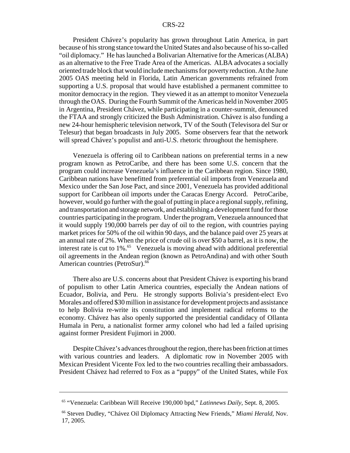President Chávez's popularity has grown throughout Latin America, in part because of his strong stance toward the United States and also because of his so-called "oil diplomacy." He has launched a Bolivarian Alternative for the Americas (ALBA) as an alternative to the Free Trade Area of the Americas. ALBA advocates a socially oriented trade block that would include mechanisms for poverty reduction. At the June 2005 OAS meeting held in Florida, Latin American governments refrained from supporting a U.S. proposal that would have established a permanent committee to monitor democracy in the region. They viewed it as an attempt to monitor Venezuela through the OAS. During the Fourth Summit of the Americas held in November 2005 in Argentina, President Chávez, while participating in a counter-summit, denounced the FTAA and strongly criticized the Bush Administration. Chávez is also funding a new 24-hour hemispheric television network, TV of the South (Televisora del Sur or Telesur) that began broadcasts in July 2005. Some observers fear that the network will spread Chávez's populist and anti-U.S. rhetoric throughout the hemisphere.

Venezuela is offering oil to Caribbean nations on preferential terms in a new program known as PetroCaribe, and there has been some U.S. concern that the program could increase Venezuela's influence in the Caribbean region. Since 1980, Caribbean nations have benefitted from preferential oil imports from Venezuela and Mexico under the San Jose Pact, and since 2001, Venezuela has provided additional support for Caribbean oil imports under the Caracas Energy Accord. PetroCaribe, however, would go further with the goal of putting in place a regional supply, refining, and transportation and storage network, and establishing a development fund for those countries participating in the program. Under the program, Venezuela announced that it would supply 190,000 barrels per day of oil to the region, with countries paying market prices for 50% of the oil within 90 days, and the balance paid over 25 years at an annual rate of 2%. When the price of crude oil is over \$50 a barrel, as it is now, the interest rate is cut to  $1\%$ .<sup>65</sup> Venezuela is moving ahead with additional preferential oil agreements in the Andean region (known as PetroAndina) and with other South American countries (PetroSur).<sup>66</sup>

There also are U.S. concerns about that President Chávez is exporting his brand of populism to other Latin America countries, especially the Andean nations of Ecuador, Bolivia, and Peru. He strongly supports Bolivia's president-elect Evo Morales and offered \$30 million in assistance for development projects and assistance to help Bolivia re-write its constitution and implement radical reforms to the economy. Chávez has also openly supported the presidential candidacy of Ollanta Humala in Peru, a nationalist former army colonel who had led a failed uprising against former President Fujimori in 2000.

Despite Chávez's advances throughout the region, there has been friction at times with various countries and leaders. A diplomatic row in November 2005 with Mexican President Vicente Fox led to the two countries recalling their ambassadors. President Chávez had referred to Fox as a "puppy" of the United States, while Fox

<sup>65 &</sup>quot;Venezuela: Caribbean Will Receive 190,000 bpd," *Latinnews Daily*, Sept. 8, 2005.

<sup>66</sup> Steven Dudley, "Chávez Oil Diplomacy Attracting New Friends," *Miami Herald*, Nov. 17, 2005.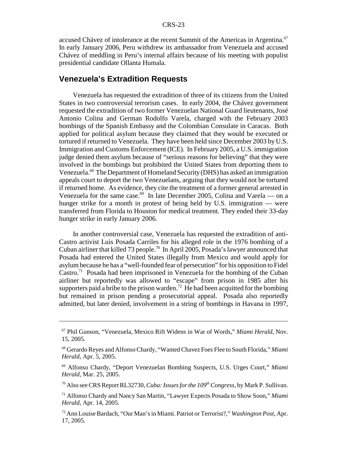accused Chávez of intolerance at the recent Summit of the Americas in Argentina.<sup>67</sup> In early January 2006, Peru withdrew its ambassador from Venezuela and accused Chávez of meddling in Peru's internal affairs because of his meeting with populist presidential candidate Ollanta Humala.

#### **Venezuela's Extradition Requests**

Venezuela has requested the extradition of three of its citizens from the United States in two controversial terrorism cases. In early 2004, the Chávez government requested the extradition of two former Venezuelan National Guard lieutenants, José Antonio Colina and German Rodolfo Varela, charged with the February 2003 bombings of the Spanish Embassy and the Colombian Consulate in Caracas. Both applied for political asylum because they claimed that they would be executed or tortured if returned to Venezuela. They have been held since December 2003 by U.S. Immigration and Customs Enforcement (ICE). In February 2005, a U.S. immigration judge denied them asylum because of "serious reasons for believing" that they were involved in the bombings but prohibited the United States from deporting them to Venezuela.<sup>68</sup> The Department of Homeland Security (DHS) has asked an immigration appeals court to deport the two Venezuelans, arguing that they would not be tortured if returned home. As evidence, they cite the treatment of a former general arrested in Venezuela for the same case.<sup>69</sup> In late December 2005, Colina and Varela — on a hunger strike for a month in protest of being held by U.S. immigration — were transferred from Florida to Houston for medical treatment. They ended their 33-day hunger strike in early January 2006.

In another controversial case, Venezuela has requested the extradition of anti-Castro activist Luis Posada Carriles for his alleged role in the 1976 bombing of a Cuban airliner that killed 73 people.<sup>70</sup> In April 2005, Posada's lawyer announced that Posada had entered the United States illegally from Mexico and would apply for asylum because he has a "well-founded fear of persecution" for his opposition to Fidel Castro.71 Posada had been imprisoned in Venezuela for the bombing of the Cuban airliner but reportedly was allowed to "escape" from prison in 1985 after his supporters paid a bribe to the prison warden.<sup>72</sup> He had been acquitted for the bombing but remained in prison pending a prosecutorial appeal. Posada also reportedly admitted, but later denied, involvement in a string of bombings in Havana in 1997,

<sup>70</sup> Also see CRS Report RL32730, *Cuba: Issues for the 109<sup>th</sup> Congress*, by Mark P. Sullivan.

<sup>67</sup> Phil Gunson, "Venezuela, Mexico Rift Widens in War of Words," *Miami Herald*, Nov. 15, 2005.

<sup>68</sup> Gerardo Reyes and Alfonso Chardy, "Wanted Chavez Foes Flee to South Florida," *Miami Herald*, Apr. 5, 2005.

<sup>69</sup> Alfonso Chardy, "Deport Venezuelan Bombing Suspects, U.S. Urges Court," *Miami Herald*, Mar. 25, 2005.

<sup>71</sup> Alfonso Chardy and Nancy San Martin, "Lawyer Expects Posada to Show Soon," *Miami Herald*, Apr. 14, 2005.

<sup>72</sup> Ann Louise Bardach, "Our Man's in Miami. Patriot or Terrorist?," *Washington Post*, Apr. 17, 2005.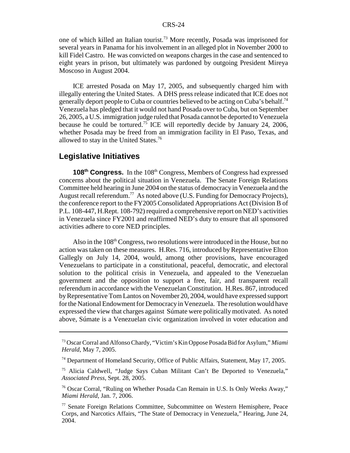one of which killed an Italian tourist.73 More recently, Posada was imprisoned for several years in Panama for his involvement in an alleged plot in November 2000 to kill Fidel Castro. He was convicted on weapons charges in the case and sentenced to eight years in prison, but ultimately was pardoned by outgoing President Mireya Moscoso in August 2004.

ICE arrested Posada on May 17, 2005, and subsequently charged him with illegally entering the United States. A DHS press release indicated that ICE does not generally deport people to Cuba or countries believed to be acting on Cuba's behalf.<sup>74</sup> Venezuela has pledged that it would not hand Posada over to Cuba, but on September 26, 2005, a U.S. immigration judge ruled that Posada cannot be deported to Venezuela because he could be tortured.<sup>75</sup> ICE will reportedly decide by January 24, 2006, whether Posada may be freed from an immigration facility in El Paso, Texas, and allowed to stay in the United States.76

#### **Legislative Initiatives**

**108<sup>th</sup> Congress.** In the 108<sup>th</sup> Congress, Members of Congress had expressed concerns about the political situation in Venezuela. The Senate Foreign Relations Committee held hearing in June 2004 on the status of democracy in Venezuela and the August recall referendum.<sup>77</sup> As noted above (U.S. Funding for Democracy Projects), the conference report to the FY2005 Consolidated Appropriations Act (Division B of P.L. 108-447, H.Rept. 108-792) required a comprehensive report on NED's activities in Venezuela since FY2001 and reaffirmed NED's duty to ensure that all sponsored activities adhere to core NED principles.

Also in the 108<sup>th</sup> Congress, two resolutions were introduced in the House, but no action was taken on these measures. H.Res. 716, introduced by Representative Elton Gallegly on July 14, 2004, would, among other provisions, have encouraged Venezuelans to participate in a constitutional, peaceful, democratic, and electoral solution to the political crisis in Venezuela, and appealed to the Venezuelan government and the opposition to support a free, fair, and transparent recall referendum in accordance with the Venezuelan Constitution. H.Res. 867, introduced by Representative Tom Lantos on November 20, 2004, would have expressed support for the National Endowment for Democracy in Venezuela. The resolution would have expressed the view that charges against Súmate were politically motivated. As noted above, Súmate is a Venezuelan civic organization involved in voter education and

<sup>73</sup> Oscar Corral and Alfonso Chardy, "Victim's Kin Oppose Posada Bid for Asylum," *Miami Herald*, May 7, 2005.

<sup>&</sup>lt;sup>74</sup> Department of Homeland Security, Office of Public Affairs, Statement, May 17, 2005.

<sup>75</sup> Alicia Caldwell, "Judge Says Cuban Militant Can't Be Deported to Venezuela," *Associated Press*, Sept. 28, 2005.

<sup>76</sup> Oscar Corral, "Ruling on Whether Posada Can Remain in U.S. Is Only Weeks Away," *Miami Herald*, Jan. 7, 2006.

<sup>77</sup> Senate Foreign Relations Committee, Subcommittee on Western Hemisphere, Peace Corps, and Narcotics Affairs, "The State of Democracy in Venezuela," Hearing, June 24, 2004.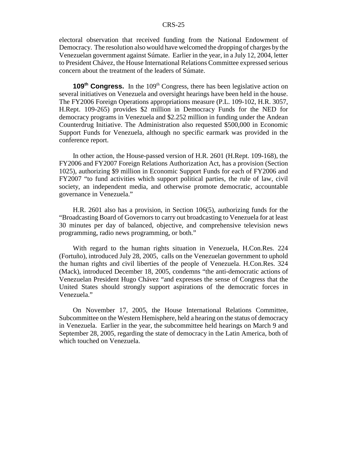electoral observation that received funding from the National Endowment of Democracy. The resolution also would have welcomed the dropping of charges by the Venezuelan government against Súmate. Earlier in the year, in a July 12, 2004, letter to President Chávez, the House International Relations Committee expressed serious concern about the treatment of the leaders of Súmate.

**109<sup>th</sup> Congress.** In the 109<sup>th</sup> Congress, there has been legislative action on several initiatives on Venezuela and oversight hearings have been held in the house. The FY2006 Foreign Operations appropriations measure (P.L. 109-102, H.R. 3057, H.Rept. 109-265) provides \$2 million in Democracy Funds for the NED for democracy programs in Venezuela and \$2.252 million in funding under the Andean Counterdrug Initiative. The Administration also requested \$500,000 in Economic Support Funds for Venezuela, although no specific earmark was provided in the conference report.

In other action, the House-passed version of H.R. 2601 (H.Rept. 109-168), the FY2006 and FY2007 Foreign Relations Authorization Act, has a provision (Section 1025), authorizing \$9 million in Economic Support Funds for each of FY2006 and FY2007 "to fund activities which support political parties, the rule of law, civil society, an independent media, and otherwise promote democratic, accountable governance in Venezuela."

H.R. 2601 also has a provision, in Section 106(5), authorizing funds for the "Broadcasting Board of Governors to carry out broadcasting to Venezuela for at least 30 minutes per day of balanced, objective, and comprehensive television news programming, radio news programming, or both."

With regard to the human rights situation in Venezuela, H.Con.Res. 224 (Fortuño), introduced July 28, 2005, calls on the Venezuelan government to uphold the human rights and civil liberties of the people of Venezuela. H.Con.Res. 324 (Mack), introduced December 18, 2005, condemns "the anti-democratic actions of Venezuelan President Hugo Chávez "and expresses the sense of Congress that the United States should strongly support aspirations of the democratic forces in Venezuela."

On November 17, 2005, the House International Relations Committee, Subcommittee on the Western Hemisphere, held a hearing on the status of democracy in Venezuela. Earlier in the year, the subcommittee held hearings on March 9 and September 28, 2005, regarding the state of democracy in the Latin America, both of which touched on Venezuela.